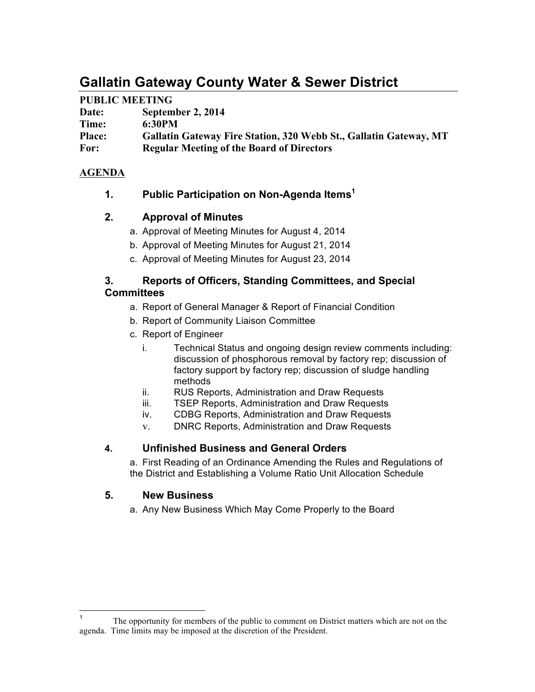# **Gallatin Gateway County Water & Sewer District**

# **PUBLIC MEETING**

| Date:         | September 2, 2014                                                        |
|---------------|--------------------------------------------------------------------------|
| Time:         | 6:30PM                                                                   |
| <b>Place:</b> | <b>Gallatin Gateway Fire Station, 320 Webb St., Gallatin Gateway, MT</b> |
| For:          | <b>Regular Meeting of the Board of Directors</b>                         |

# **AGENDA**

**1. Public Participation on Non-Agenda Items1**

## **2. Approval of Minutes**

- a. Approval of Meeting Minutes for August 4, 2014
- b. Approval of Meeting Minutes for August 21, 2014
- c. Approval of Meeting Minutes for August 23, 2014

## **3. Reports of Officers, Standing Committees, and Special Committees**

- a. Report of General Manager & Report of Financial Condition
- b. Report of Community Liaison Committee
- c. Report of Engineer
	- i. Technical Status and ongoing design review comments including: discussion of phosphorous removal by factory rep; discussion of factory support by factory rep; discussion of sludge handling methods
	- ii. RUS Reports, Administration and Draw Requests
	- iii. TSEP Reports, Administration and Draw Requests
	- iv. CDBG Reports, Administration and Draw Requests
	- v. DNRC Reports, Administration and Draw Requests

## **4. Unfinished Business and General Orders**

a. First Reading of an Ordinance Amending the Rules and Regulations of the District and Establishing a Volume Ratio Unit Allocation Schedule

# **5. New Business**

a. Any New Business Which May Come Properly to the Board

<sup>&</sup>lt;sup>1</sup> The opportunity for members of the public to comment on District matters which are not on the agenda. Time limits may be imposed at the discretion of the President.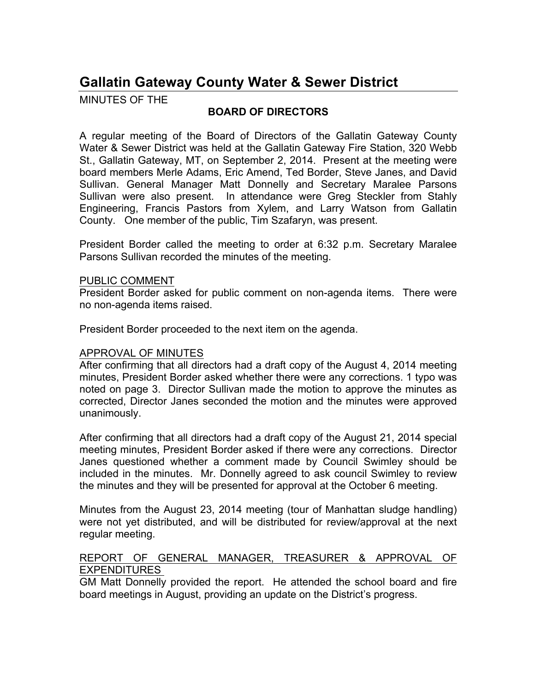# **Gallatin Gateway County Water & Sewer District**

MINUTES OF THE

# **BOARD OF DIRECTORS**

A regular meeting of the Board of Directors of the Gallatin Gateway County Water & Sewer District was held at the Gallatin Gateway Fire Station, 320 Webb St., Gallatin Gateway, MT, on September 2, 2014. Present at the meeting were board members Merle Adams, Eric Amend, Ted Border, Steve Janes, and David Sullivan. General Manager Matt Donnelly and Secretary Maralee Parsons Sullivan were also present. In attendance were Greg Steckler from Stahly Engineering, Francis Pastors from Xylem, and Larry Watson from Gallatin County. One member of the public, Tim Szafaryn, was present.

President Border called the meeting to order at 6:32 p.m. Secretary Maralee Parsons Sullivan recorded the minutes of the meeting.

#### PUBLIC COMMENT

President Border asked for public comment on non-agenda items. There were no non-agenda items raised.

President Border proceeded to the next item on the agenda.

## APPROVAL OF MINUTES

After confirming that all directors had a draft copy of the August 4, 2014 meeting minutes, President Border asked whether there were any corrections. 1 typo was noted on page 3. Director Sullivan made the motion to approve the minutes as corrected, Director Janes seconded the motion and the minutes were approved unanimously.

After confirming that all directors had a draft copy of the August 21, 2014 special meeting minutes, President Border asked if there were any corrections. Director Janes questioned whether a comment made by Council Swimley should be included in the minutes. Mr. Donnelly agreed to ask council Swimley to review the minutes and they will be presented for approval at the October 6 meeting.

Minutes from the August 23, 2014 meeting (tour of Manhattan sludge handling) were not yet distributed, and will be distributed for review/approval at the next regular meeting.

#### REPORT OF GENERAL MANAGER, TREASURER & APPROVAL OF EXPENDITURES

GM Matt Donnelly provided the report. He attended the school board and fire board meetings in August, providing an update on the District's progress.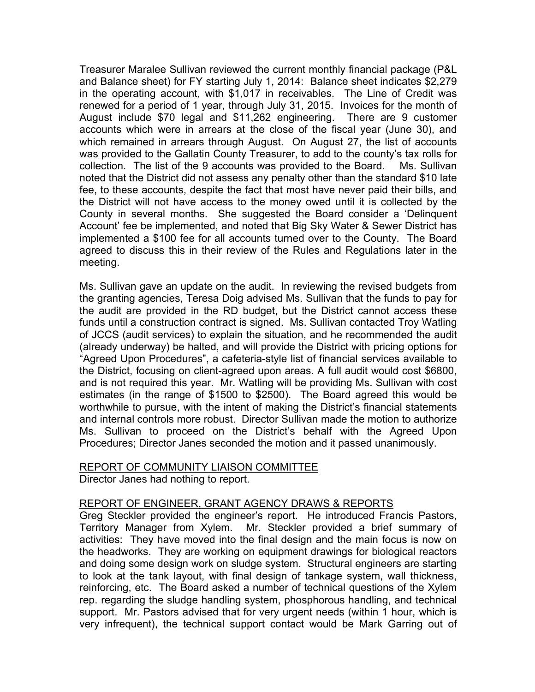Treasurer Maralee Sullivan reviewed the current monthly financial package (P&L and Balance sheet) for FY starting July 1, 2014: Balance sheet indicates \$2,279 in the operating account, with \$1,017 in receivables. The Line of Credit was renewed for a period of 1 year, through July 31, 2015. Invoices for the month of August include \$70 legal and \$11,262 engineering. There are 9 customer accounts which were in arrears at the close of the fiscal year (June 30), and which remained in arrears through August. On August 27, the list of accounts was provided to the Gallatin County Treasurer, to add to the county's tax rolls for collection. The list of the 9 accounts was provided to the Board. Ms. Sullivan noted that the District did not assess any penalty other than the standard \$10 late fee, to these accounts, despite the fact that most have never paid their bills, and the District will not have access to the money owed until it is collected by the County in several months. She suggested the Board consider a 'Delinquent Account' fee be implemented, and noted that Big Sky Water & Sewer District has implemented a \$100 fee for all accounts turned over to the County. The Board agreed to discuss this in their review of the Rules and Regulations later in the meeting.

Ms. Sullivan gave an update on the audit. In reviewing the revised budgets from the granting agencies, Teresa Doig advised Ms. Sullivan that the funds to pay for the audit are provided in the RD budget, but the District cannot access these funds until a construction contract is signed. Ms. Sullivan contacted Troy Watling of JCCS (audit services) to explain the situation, and he recommended the audit (already underway) be halted, and will provide the District with pricing options for "Agreed Upon Procedures", a cafeteria-style list of financial services available to the District, focusing on client-agreed upon areas. A full audit would cost \$6800, and is not required this year. Mr. Watling will be providing Ms. Sullivan with cost estimates (in the range of \$1500 to \$2500). The Board agreed this would be worthwhile to pursue, with the intent of making the District's financial statements and internal controls more robust. Director Sullivan made the motion to authorize Ms. Sullivan to proceed on the District's behalf with the Agreed Upon Procedures; Director Janes seconded the motion and it passed unanimously.

#### REPORT OF COMMUNITY LIAISON COMMITTEE Director Janes had nothing to report.

#### REPORT OF ENGINEER, GRANT AGENCY DRAWS & REPORTS

Greg Steckler provided the engineer's report. He introduced Francis Pastors, Territory Manager from Xylem. Mr. Steckler provided a brief summary of activities: They have moved into the final design and the main focus is now on the headworks. They are working on equipment drawings for biological reactors and doing some design work on sludge system. Structural engineers are starting to look at the tank layout, with final design of tankage system, wall thickness, reinforcing, etc. The Board asked a number of technical questions of the Xylem rep. regarding the sludge handling system, phosphorous handling, and technical support. Mr. Pastors advised that for very urgent needs (within 1 hour, which is very infrequent), the technical support contact would be Mark Garring out of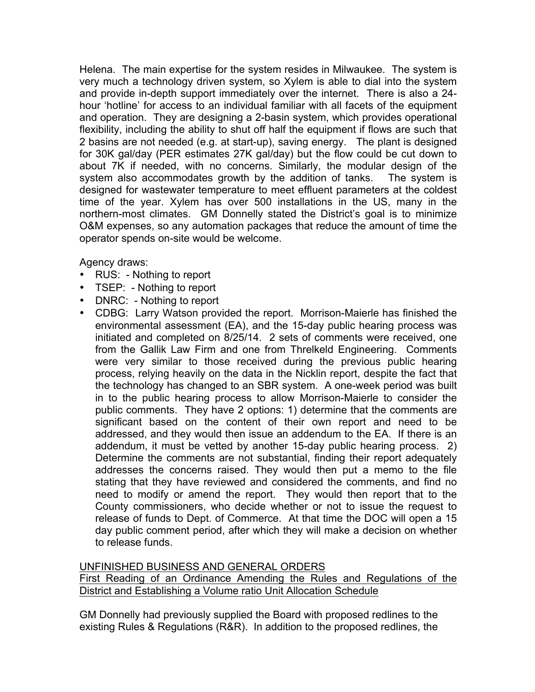Helena. The main expertise for the system resides in Milwaukee. The system is very much a technology driven system, so Xylem is able to dial into the system and provide in-depth support immediately over the internet. There is also a 24 hour 'hotline' for access to an individual familiar with all facets of the equipment and operation. They are designing a 2-basin system, which provides operational flexibility, including the ability to shut off half the equipment if flows are such that 2 basins are not needed (e.g. at start-up), saving energy. The plant is designed for 30K gal/day (PER estimates 27K gal/day) but the flow could be cut down to about 7K if needed, with no concerns. Similarly, the modular design of the system also accommodates growth by the addition of tanks. The system is designed for wastewater temperature to meet effluent parameters at the coldest time of the year. Xylem has over 500 installations in the US, many in the northern-most climates. GM Donnelly stated the District's goal is to minimize O&M expenses, so any automation packages that reduce the amount of time the operator spends on-site would be welcome.

Agency draws:

- RUS: Nothing to report
- TSEP: Nothing to report
- DNRC: Nothing to report
- CDBG: Larry Watson provided the report. Morrison-Maierle has finished the environmental assessment (EA), and the 15-day public hearing process was initiated and completed on 8/25/14. 2 sets of comments were received, one from the Gallik Law Firm and one from Threlkeld Engineering. Comments were very similar to those received during the previous public hearing process, relying heavily on the data in the Nicklin report, despite the fact that the technology has changed to an SBR system. A one-week period was built in to the public hearing process to allow Morrison-Maierle to consider the public comments. They have 2 options: 1) determine that the comments are significant based on the content of their own report and need to be addressed, and they would then issue an addendum to the EA. If there is an addendum, it must be vetted by another 15-day public hearing process. 2) Determine the comments are not substantial, finding their report adequately addresses the concerns raised. They would then put a memo to the file stating that they have reviewed and considered the comments, and find no need to modify or amend the report. They would then report that to the County commissioners, who decide whether or not to issue the request to release of funds to Dept. of Commerce. At that time the DOC will open a 15 day public comment period, after which they will make a decision on whether to release funds.

UNFINISHED BUSINESS AND GENERAL ORDERS

First Reading of an Ordinance Amending the Rules and Regulations of the District and Establishing a Volume ratio Unit Allocation Schedule

GM Donnelly had previously supplied the Board with proposed redlines to the existing Rules & Regulations (R&R). In addition to the proposed redlines, the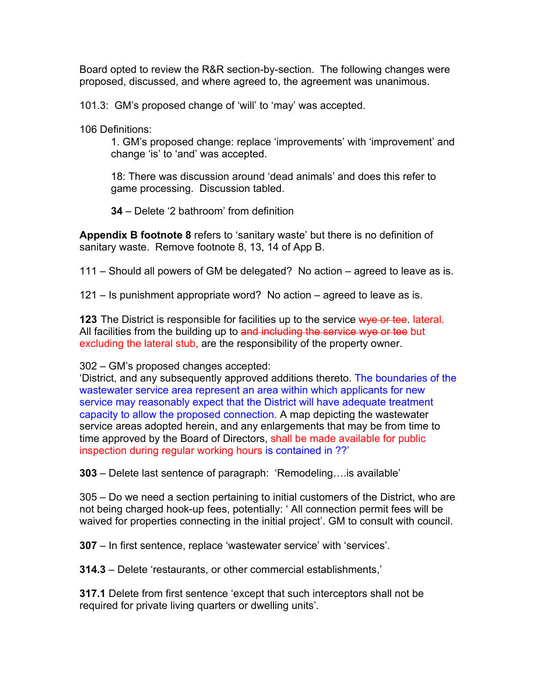Board opted to review the R&R section-by-section. The following changes were proposed, discussed, and where agreed to, the agreement was unanimous.

101.3: GM's proposed change of 'will' to 'may' was accepted.

106 Definitions:

1. GM's proposed change: replace 'improvements' with 'improvement' and change 'is' to 'and' was accepted.

18: There was discussion around 'dead animals' and does this refer to game processing. Discussion tabled.

**34** – Delete '2 bathroom' from definition

**Appendix B footnote 8** refers to 'sanitary waste' but there is no definition of sanitary waste. Remove footnote 8, 13, 14 of App B.

111 – Should all powers of GM be delegated? No action – agreed to leave as is.

121 – Is punishment appropriate word? No action – agreed to leave as is.

**123** The District is responsible for facilities up to the service wye or tee. lateral. All facilities from the building up to and including the service wye or tee but excluding the lateral stub, are the responsibility of the property owner.

302 – GM's proposed changes accepted:

'District, and any subsequently approved additions thereto. The boundaries of the wastewater service area represent an area within which applicants for new service may reasonably expect that the District will have adequate treatment capacity to allow the proposed connection. A map depicting the wastewater service areas adopted herein, and any enlargements that may be from time to time approved by the Board of Directors, shall be made available for public inspection during regular working hours is contained in ??'

**303** – Delete last sentence of paragraph: 'Remodeling….is available'

305 – Do we need a section pertaining to initial customers of the District, who are not being charged hook-up fees, potentially: ' All connection permit fees will be waived for properties connecting in the initial project'. GM to consult with council.

**307** – In first sentence, replace 'wastewater service' with 'services'.

**314.3** – Delete 'restaurants, or other commercial establishments,'

**317.1** Delete from first sentence 'except that such interceptors shall not be required for private living quarters or dwelling units'.